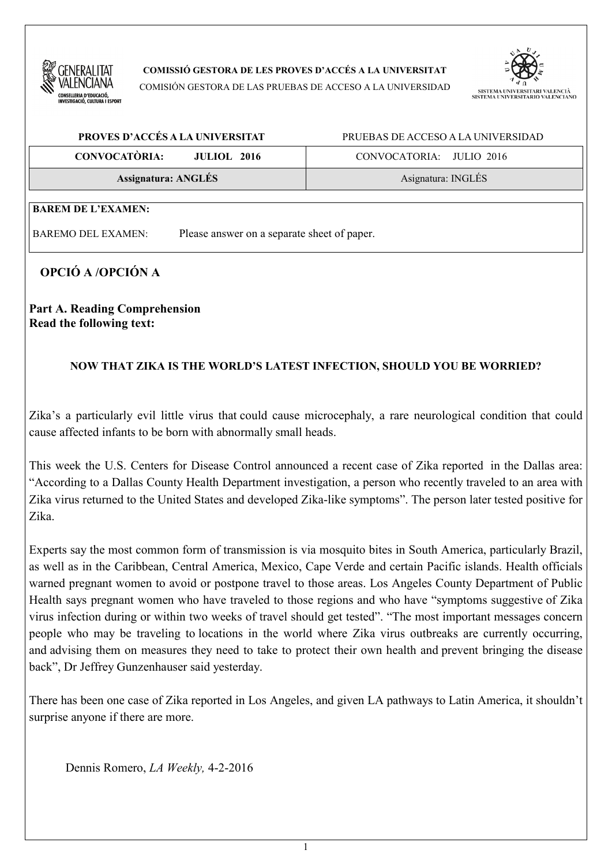

**COMISSIÓ GESTORA DE LES PROVES D'ACCÉS A LA UNIVERSITAT**

COMISIÓN GESTORA DE LAS PRUEBAS DE ACCESO A LA UNIVERSIDAD



| PROVES D'ACCÉS A LA UNIVERSITAT            | PRUEBAS DE ACCESO A LA UNIVERSIDAD |  |
|--------------------------------------------|------------------------------------|--|
| <b>CONVOCATÒRIA:</b><br><b>JULIOL 2016</b> | CONVOCATORIA: JULIO 2016           |  |
| <b>Assignatura: ANGLÉS</b>                 | Asignatura: INGLÉS                 |  |
|                                            |                                    |  |

# **BAREM DE L'EXAMEN:**

BAREMO DEL EXAMEN: Please answer on a separate sheet of paper.

# **OPCIÓ A /OPCIÓN A**

**Part A. Reading Comprehension Read the following text:**

### **NOW THAT ZIKA IS THE WORLD'S LATEST INFECTION, SHOULD YOU BE WORRIED?**

Zika's a particularly evil little virus that could cause microcephaly, a rare neurological condition that could cause affected infants to be born with abnormally small heads.

This week the U.S. Centers for Disease Control announced a recent case of Zika reported in the Dallas area: "According to a Dallas County Health Department investigation, a person who recently traveled to an area with Zika virus returned to the United States and developed Zika-like symptoms". The person later tested positive for Zika.

Experts say the most common form of transmission is via mosquito bites in South America, particularly Brazil, as well as in the Caribbean, Central America, Mexico, Cape Verde and certain Pacific islands. Health officials warned pregnant women to avoid or postpone travel to those areas. Los Angeles County Department of Public Health says pregnant women who have traveled to those regions and who have "symptoms suggestive of Zika virus infection during or within two weeks of travel should get tested". "The most important messages concern people who may be traveling to locations in the world where Zika virus outbreaks are currently occurring, and advising them on measures they need to take to protect their own health and prevent bringing the disease back", Dr Jeffrey Gunzenhauser said yesterday.

There has been one case of Zika reported in Los Angeles, and given LA pathways to Latin America, it shouldn't surprise anyone if there are more.

Dennis Romero, *LA Weekly,* 4-2-2016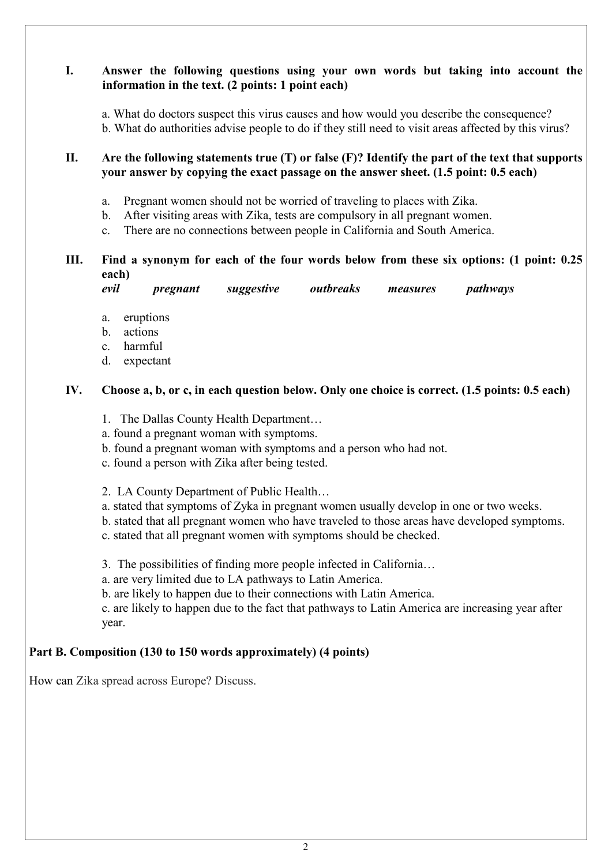# **I. Answer the following questions using your own words but taking into account the information in the text. (2 points: 1 point each)**

a. What do doctors suspect this virus causes and how would you describe the consequence? b. What do authorities advise people to do if they still need to visit areas affected by this virus?

### **II. Are the following statements true (T) or false (F)? Identify the part of the text that supports your answer by copying the exact passage on the answer sheet. (1.5 point: 0.5 each)**

- a. Pregnant women should not be worried of traveling to places with Zika.
- b. After visiting areas with Zika, tests are compulsory in all pregnant women.
- c. There are no connections between people in California and South America.

# **III. Find a synonym for each of the four words below from these six options: (1 point: 0.25 each)**

| evil | pregnant | suggestive | outbreaks | measures | pathways |
|------|----------|------------|-----------|----------|----------|
|      |          |            |           |          |          |

- a. eruptions
- b. actions
- c. harmful
- d. expectant

## **IV. Choose a, b, or c, in each question below. Only one choice is correct. (1.5 points: 0.5 each)**

- 1. The Dallas County Health Department…
- a. found a pregnant woman with symptoms.
- b. found a pregnant woman with symptoms and a person who had not.
- c. found a person with Zika after being tested.
- 2. LA County Department of Public Health…
- a. stated that symptoms of Zyka in pregnant women usually develop in one or two weeks.
- b. stated that all pregnant women who have traveled to those areas have developed symptoms.
- c. stated that all pregnant women with symptoms should be checked.

3. The possibilities of finding more people infected in California…

- a. are very limited due to LA pathways to Latin America.
- b. are likely to happen due to their connections with Latin America.

c. are likely to happen due to the fact that pathways to Latin America are increasing year after year.

### **Part B. Composition (130 to 150 words approximately) (4 points)**

How can Zika spread across Europe? Discuss.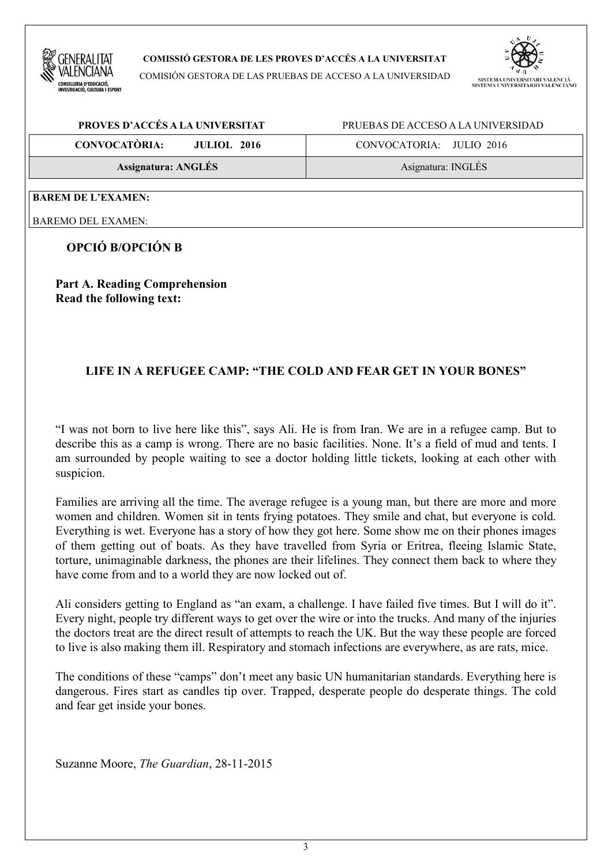

**COMISSIÓ GESTORA DE LES PROVES D'ACCÉS A LA UNIVERSITAT**

COMISIÓN GESTORA DE LAS PRUEBAS DE ACCESO A LA UNIVERSIDAD



| PROVES D'ACCÉS A LA UNIVERSITAT            | PRUEBAS DE ACCESO A LA UNIVERSIDAD |  |  |
|--------------------------------------------|------------------------------------|--|--|
| <b>CONVOCATÒRIA:</b><br><b>JULIOL 2016</b> | CONVOCATORIA: JULIO 2016           |  |  |
| <b>Assignatura: ANGLÉS</b>                 | Asignatura: INGLÉS                 |  |  |
|                                            |                                    |  |  |

#### **BAREM DE L'EXAMEN:**

BAREMO DEL EXAMEN:

# **OPCIÓ B/OPCIÓN B**

**Part A. Reading Comprehension Read the following text:**

# **LIFE IN A REFUGEE CAMP: "THE COLD AND FEAR GET IN YOUR BONES"**

"I was not born to live here like this", says Ali. He is from Iran. We are in a refugee camp. But to describe this as a camp is wrong. There are no basic facilities. None. It's a field of mud and tents. I am surrounded by people waiting to see a doctor holding little tickets, looking at each other with suspicion.

Families are arriving all the time. The average refugee is a young man, but there are more and more women and children. Women sit in tents frying potatoes. They smile and chat, but everyone is cold. Everything is wet. Everyone has a story of how they got here. Some show me on their phones images of them getting out of boats. As they have travelled from Syria or Eritrea, fleeing Islamic State, torture, unimaginable darkness, the phones are their lifelines. They connect them back to where they have come from and to a world they are now locked out of.

Ali considers getting to England as "an exam, a challenge. I have failed five times. But I will do it". Every night, people try different ways to get over the wire or into the trucks. And many of the injuries the doctors treat are the direct result of attempts to reach the UK. But the way these people are forced to live is also making them ill. Respiratory and stomach infections are everywhere, as are rats, mice.

The conditions of these "camps" don't meet any basic UN humanitarian standards. Everything here is dangerous. Fires start as candles tip over. Trapped, desperate people do desperate things. The cold and fear get inside your bones.

Suzanne Moore, *The Guardian*, 28-11-2015